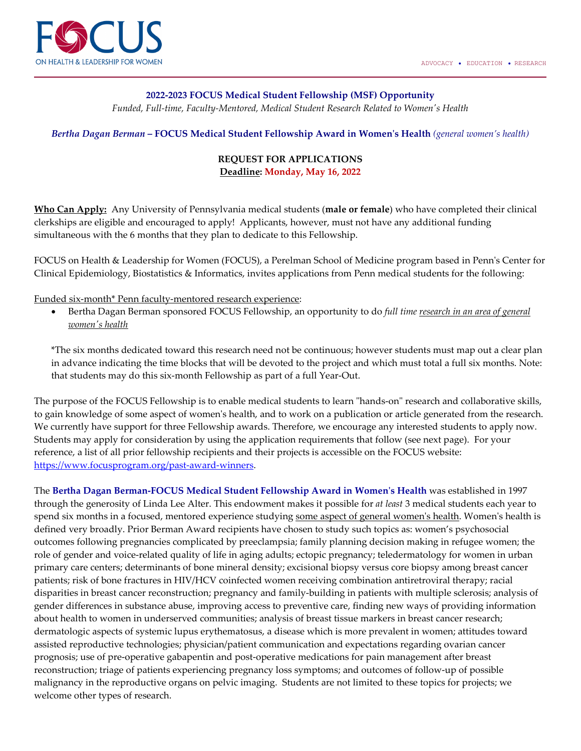

## **2022-2023 FOCUS Medical Student Fellowship (MSF) Opportunity**

*Funded, Full-time, Faculty-Mentored, Medical Student Research Related to Women's Health*

*Bertha Dagan Berman* **– FOCUS Medical Student Fellowship Award in Women's Health** *(general women's health)*

## **REQUEST FOR APPLICATIONS Deadline: Monday, May 16, 2022**

**Who Can Apply:** Any University of Pennsylvania medical students (**male or female**) who have completed their clinical clerkships are eligible and encouraged to apply! Applicants, however, must not have any additional funding simultaneous with the 6 months that they plan to dedicate to this Fellowship.

FOCUS on Health & Leadership for Women (FOCUS), a Perelman School of Medicine program based in Penn's Center for Clinical Epidemiology, Biostatistics & Informatics, invites applications from Penn medical students for the following:

Funded six-month\* Penn faculty-mentored research experience:

• Bertha Dagan Berman sponsored FOCUS Fellowship, an opportunity to do *full time research in an area of general women's health*

\*The six months dedicated toward this research need not be continuous; however students must map out a clear plan in advance indicating the time blocks that will be devoted to the project and which must total a full six months. Note: that students may do this six-month Fellowship as part of a full Year-Out.

The purpose of the FOCUS Fellowship is to enable medical students to learn "hands-on" research and collaborative skills, to gain knowledge of some aspect of women's health, and to work on a publication or article generated from the research. We currently have support for three Fellowship awards. Therefore, we encourage any interested students to apply now. Students may apply for consideration by using the application requirements that follow (see next page). For your reference, a list of all prior fellowship recipients and their projects is accessible on the FOCUS website: [https://www.focusprogram.org/past-award-winners.](https://www.focusprogram.org/past-award-winners)

The **Bertha Dagan Berman-FOCUS Medical Student Fellowship Award in Women's Health** was established in 1997 through the generosity of Linda Lee Alter. This endowment makes it possible for *at least* 3 medical students each year to spend six months in a focused, mentored experience studying some aspect of general women's health. Women's health is defined very broadly. Prior Berman Award recipients have chosen to study such topics as: women's psychosocial outcomes following pregnancies complicated by preeclampsia; family planning decision making in refugee women; the role of gender and voice-related quality of life in aging adults; ectopic pregnancy; teledermatology for women in urban primary care centers; determinants of bone mineral density; excisional biopsy versus core biopsy among breast cancer patients; risk of bone fractures in HIV/HCV coinfected women receiving combination antiretroviral therapy; racial disparities in breast cancer reconstruction; pregnancy and family-building in patients with multiple sclerosis; analysis of gender differences in substance abuse, improving access to preventive care, finding new ways of providing information about health to women in underserved communities; analysis of breast tissue markers in breast cancer research; dermatologic aspects of systemic lupus erythematosus, a disease which is more prevalent in women; attitudes toward assisted reproductive technologies; physician/patient communication and expectations regarding ovarian cancer prognosis; use of pre-operative gabapentin and post-operative medications for pain management after breast reconstruction; triage of patients experiencing pregnancy loss symptoms; and outcomes of follow-up of possible malignancy in the reproductive organs on pelvic imaging. Students are not limited to these topics for projects; we welcome other types of research.